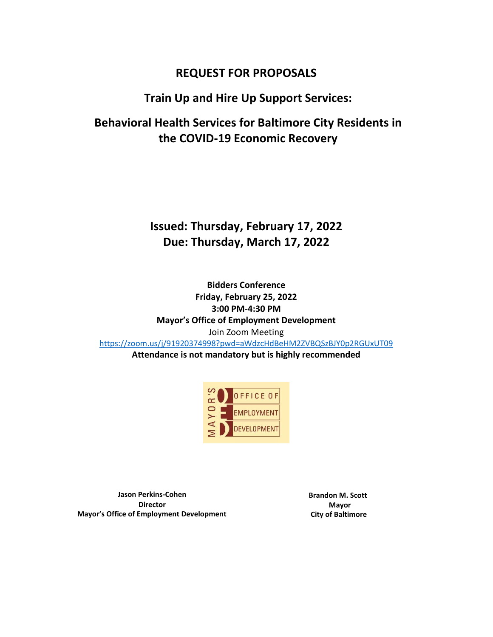# **REQUEST FOR PROPOSALS**

# **Train Up and Hire Up Support Services:**

**Behavioral Health Services for Baltimore City Residents in the COVID-19 Economic Recovery**

# **Issued: Thursday, February 17, 2022 Due: Thursday, March 17, 2022**

**Bidders Conference Friday, February 25, 2022 3:00 PM-4:30 PM Mayor's Office of Employment Development** Join Zoom Meeting <https://zoom.us/j/91920374998?pwd=aWdzcHdBeHM2ZVBQSzBJY0p2RGUxUT09> **Attendance is not mandatory but is highly recommended**



**Jason Perkins-Cohen Director Mayor's Office of Employment Development** **Brandon M. Scott Mayor City of Baltimore**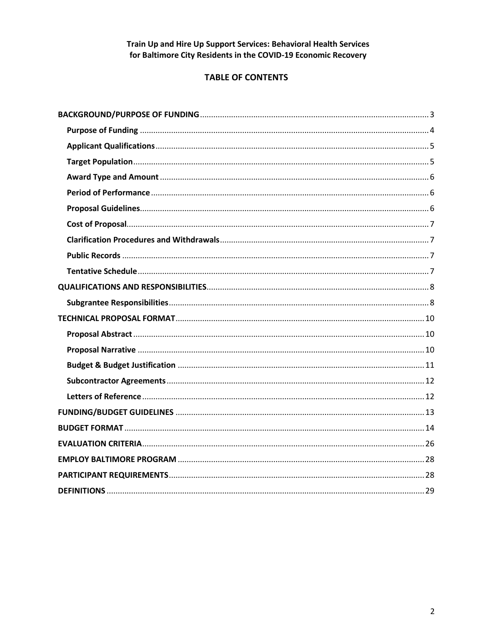## **TABLE OF CONTENTS**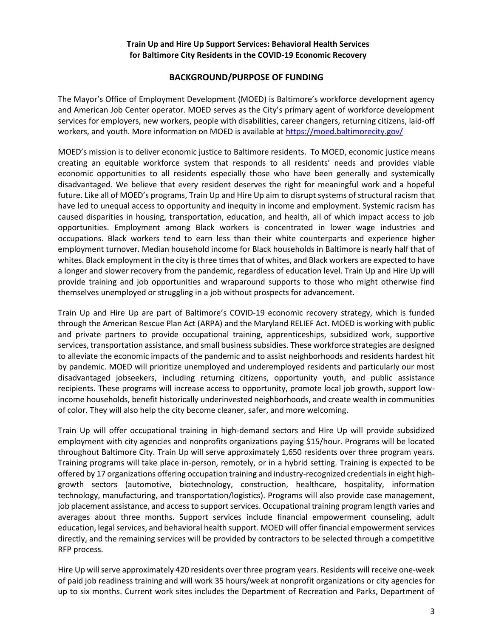#### **BACKGROUND/PURPOSE OF FUNDING**

<span id="page-2-0"></span>The Mayor's Office of Employment Development (MOED) is Baltimore's workforce development agency and American Job Center operator. MOED serves as the City's primary agent of workforce development services for employers, new workers, people with disabilities, career changers, returning citizens, laid-off workers, and youth. More information on MOED is available at<https://moed.baltimorecity.gov/>

MOED's mission is to deliver economic justice to Baltimore residents. To MOED, economic justice means creating an equitable workforce system that responds to all residents' needs and provides viable economic opportunities to all residents especially those who have been generally and systemically disadvantaged. We believe that every resident deserves the right for meaningful work and a hopeful future. Like all of MOED's programs, Train Up and Hire Up aim to disrupt systems of structural racism that have led to unequal access to opportunity and inequity in income and employment. Systemic racism has caused disparities in housing, transportation, education, and health, all of which impact access to job opportunities. Employment among Black workers is concentrated in lower wage industries and occupations. Black workers tend to earn less than their white counterparts and experience higher employment turnover. Median household income for Black households in Baltimore is nearly half that of whites. Black employment in the city is three times that of whites, and Black workers are expected to have a longer and slower recovery from the pandemic, regardless of education level. Train Up and Hire Up will provide training and job opportunities and wraparound supports to those who might otherwise find themselves unemployed or struggling in a job without prospects for advancement.

Train Up and Hire Up are part of Baltimore's COVID-19 economic recovery strategy, which is funded through the American Rescue Plan Act (ARPA) and the Maryland RELIEF Act. MOED is working with public and private partners to provide occupational training, apprenticeships, subsidized work, supportive services, transportation assistance, and small business subsidies. These workforce strategies are designed to alleviate the economic impacts of the pandemic and to assist neighborhoods and residents hardest hit by pandemic. MOED will prioritize unemployed and underemployed residents and particularly our most disadvantaged jobseekers, including returning citizens, opportunity youth, and public assistance recipients. These programs will increase access to opportunity, promote local job growth, support lowincome households, benefit historically underinvested neighborhoods, and create wealth in communities of color. They will also help the city become cleaner, safer, and more welcoming.

Train Up will offer occupational training in high-demand sectors and Hire Up will provide subsidized employment with city agencies and nonprofits organizations paying \$15/hour. Programs will be located throughout Baltimore City. Train Up will serve approximately 1,650 residents over three program years. Training programs will take place in-person, remotely, or in a hybrid setting. Training is expected to be offered by 17 organizations offering occupation training and industry-recognized credentials in eight highgrowth sectors (automotive, biotechnology, construction, healthcare, hospitality, information technology, manufacturing, and transportation/logistics). Programs will also provide case management, job placement assistance, and access to support services. Occupational training program length varies and averages about three months. Support services include financial empowerment counseling, adult education, legal services, and behavioral health support. MOED will offer financial empowerment services directly, and the remaining services will be provided by contractors to be selected through a competitive RFP process.

Hire Up will serve approximately 420 residents over three program years. Residents will receive one-week of paid job readiness training and will work 35 hours/week at nonprofit organizations or city agencies for up to six months. Current work sites includes the Department of Recreation and Parks, Department of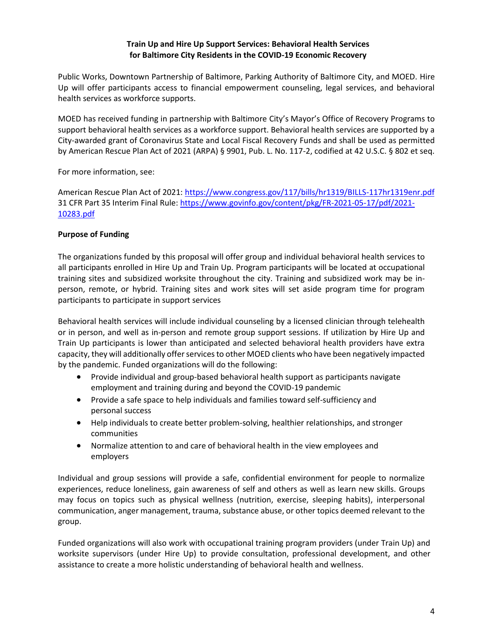Public Works, Downtown Partnership of Baltimore, Parking Authority of Baltimore City, and MOED. Hire Up will offer participants access to financial empowerment counseling, legal services, and behavioral health services as workforce supports.

MOED has received funding in partnership with Baltimore City's Mayor's Office of Recovery Programs to support behavioral health services as a workforce support. Behavioral health services are supported by a City-awarded grant of Coronavirus State and Local Fiscal Recovery Funds and shall be used as permitted by American Rescue Plan Act of 2021 (ARPA) § 9901, Pub. L. No. 117-2, codified at 42 U.S.C. § 802 et seq.

For more information, see:

American Rescue Plan Act of 2021[: https://www.congress.gov/117/bills/hr1319/BILLS-117hr1319enr.pdf](https://www.congress.gov/117/bills/hr1319/BILLS-117hr1319enr.pdf) 31 CFR Part 35 Interim Final Rule: [https://www.govinfo.gov/content/pkg/FR-2021-05-17/pdf/2021-](https://www.govinfo.gov/content/pkg/FR-2021-05-17/pdf/2021-10283.pdf) [10283.pdf](https://www.govinfo.gov/content/pkg/FR-2021-05-17/pdf/2021-10283.pdf)

#### <span id="page-3-0"></span>**Purpose of Funding**

The organizations funded by this proposal will offer group and individual behavioral health services to all participants enrolled in Hire Up and Train Up. Program participants will be located at occupational training sites and subsidized worksite throughout the city. Training and subsidized work may be inperson, remote, or hybrid. Training sites and work sites will set aside program time for program participants to participate in support services

Behavioral health services will include individual counseling by a licensed clinician through telehealth or in person, and well as in-person and remote group support sessions. If utilization by Hire Up and Train Up participants is lower than anticipated and selected behavioral health providers have extra capacity, they will additionally offer services to other MOED clients who have been negatively impacted by the pandemic. Funded organizations will do the following:

- Provide individual and group-based behavioral health support as participants navigate employment and training during and beyond the COVID-19 pandemic
- Provide a safe space to help individuals and families toward self-sufficiency and personal success
- Help individuals to create better problem-solving, healthier relationships, and stronger communities
- Normalize attention to and care of behavioral health in the view employees and employers

Individual and group sessions will provide a safe, confidential environment for people to normalize experiences, reduce loneliness, gain awareness of self and others as well as learn new skills. Groups may focus on topics such as physical wellness (nutrition, exercise, sleeping habits), interpersonal communication, anger management, trauma, substance abuse, or other topics deemed relevant to the group.

Funded organizations will also work with occupational training program providers (under Train Up) and worksite supervisors (under Hire Up) to provide consultation, professional development, and other assistance to create a more holistic understanding of behavioral health and wellness.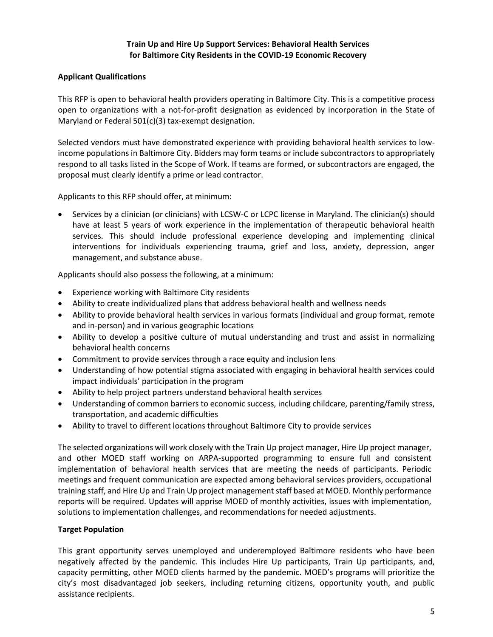#### <span id="page-4-0"></span>**Applicant Qualifications**

This RFP is open to behavioral health providers operating in Baltimore City. This is a competitive process open to organizations with a not-for-profit designation as evidenced by incorporation in the State of Maryland or Federal 501(c)(3) tax-exempt designation.

Selected vendors must have demonstrated experience with providing behavioral health services to lowincome populations in Baltimore City. Bidders may form teams or include subcontractors to appropriately respond to all tasks listed in the Scope of Work. If teams are formed, or subcontractors are engaged, the proposal must clearly identify a prime or lead contractor.

Applicants to this RFP should offer, at minimum:

 Services by a clinician (or clinicians) with LCSW-C or LCPC license in Maryland. The clinician(s) should have at least 5 years of work experience in the implementation of therapeutic behavioral health services. This should include professional experience developing and implementing clinical interventions for individuals experiencing trauma, grief and loss, anxiety, depression, anger management, and substance abuse.

Applicants should also possess the following, at a minimum:

- Experience working with Baltimore City residents
- Ability to create individualized plans that address behavioral health and wellness needs
- Ability to provide behavioral health services in various formats (individual and group format, remote and in-person) and in various geographic locations
- Ability to develop a positive culture of mutual understanding and trust and assist in normalizing behavioral health concerns
- Commitment to provide services through a race equity and inclusion lens
- Understanding of how potential stigma associated with engaging in behavioral health services could impact individuals' participation in the program
- Ability to help project partners understand behavioral health services
- Understanding of common barriers to economic success, including childcare, parenting/family stress, transportation, and academic difficulties
- Ability to travel to different locations throughout Baltimore City to provide services

The selected organizations will work closely with the Train Up project manager, Hire Up project manager, and other MOED staff working on ARPA-supported programming to ensure full and consistent implementation of behavioral health services that are meeting the needs of participants. Periodic meetings and frequent communication are expected among behavioral services providers, occupational training staff, and Hire Up and Train Up project management staff based at MOED. Monthly performance reports will be required. Updates will apprise MOED of monthly activities, issues with implementation, solutions to implementation challenges, and recommendations for needed adjustments.

#### <span id="page-4-1"></span>**Target Population**

This grant opportunity serves unemployed and underemployed Baltimore residents who have been negatively affected by the pandemic. This includes Hire Up participants, Train Up participants, and, capacity permitting, other MOED clients harmed by the pandemic. MOED's programs will prioritize the city's most disadvantaged job seekers, including returning citizens, opportunity youth, and public assistance recipients.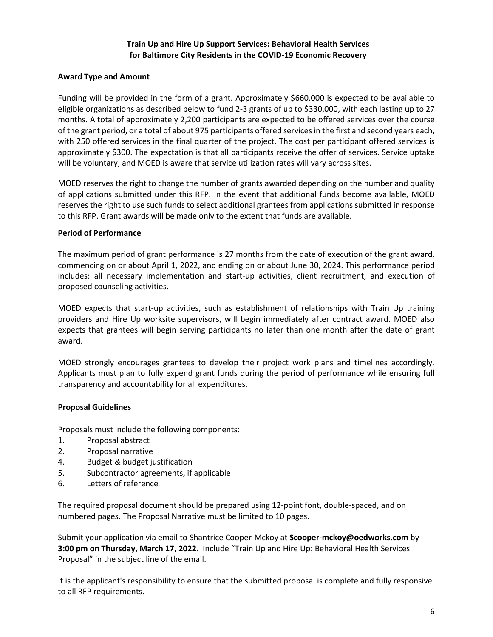#### <span id="page-5-0"></span>**Award Type and Amount**

Funding will be provided in the form of a grant. Approximately \$660,000 is expected to be available to eligible organizations as described below to fund 2-3 grants of up to \$330,000, with each lasting up to 27 months. A total of approximately 2,200 participants are expected to be offered services over the course of the grant period, or a total of about 975 participants offered services in the first and second years each, with 250 offered services in the final quarter of the project. The cost per participant offered services is approximately \$300. The expectation is that all participants receive the offer of services. Service uptake will be voluntary, and MOED is aware that service utilization rates will vary across sites.

MOED reserves the right to change the number of grants awarded depending on the number and quality of applications submitted under this RFP. In the event that additional funds become available, MOED reserves the right to use such funds to select additional grantees from applications submitted in response to this RFP. Grant awards will be made only to the extent that funds are available.

#### <span id="page-5-1"></span>**Period of Performance**

The maximum period of grant performance is 27 months from the date of execution of the grant award, commencing on or about April 1, 2022, and ending on or about June 30, 2024. This performance period includes: all necessary implementation and start-up activities, client recruitment, and execution of proposed counseling activities.

MOED expects that start-up activities, such as establishment of relationships with Train Up training providers and Hire Up worksite supervisors, will begin immediately after contract award. MOED also expects that grantees will begin serving participants no later than one month after the date of grant award.

MOED strongly encourages grantees to develop their project work plans and timelines accordingly. Applicants must plan to fully expend grant funds during the period of performance while ensuring full transparency and accountability for all expenditures.

#### <span id="page-5-2"></span>**Proposal Guidelines**

Proposals must include the following components:

- 1. Proposal abstract
- 2. Proposal narrative
- 4. Budget & budget justification
- 5. Subcontractor agreements, if applicable
- 6. Letters of reference

The required proposal document should be prepared using 12-point font, double-spaced, and on numbered pages. The Proposal Narrative must be limited to 10 pages.

Submit your application via email to Shantrice Cooper-Mckoy at **Scooper-mckoy@oedworks.com** by **3:00 pm on Thursday, March 17, 2022**. Include "Train Up and Hire Up: Behavioral Health Services Proposal" in the subject line of the email.

It is the applicant's responsibility to ensure that the submitted proposal is complete and fully responsive to all RFP requirements.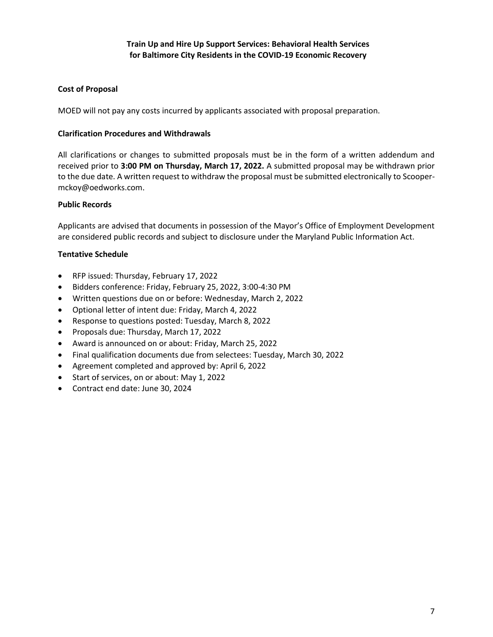#### <span id="page-6-0"></span>**Cost of Proposal**

MOED will not pay any costs incurred by applicants associated with proposal preparation.

#### <span id="page-6-1"></span>**Clarification Procedures and Withdrawals**

All clarifications or changes to submitted proposals must be in the form of a written addendum and received prior to **3:00 PM on Thursday, March 17, 2022.** A submitted proposal may be withdrawn prior to the due date. A written request to withdraw the proposal must be submitted electronically to Scoopermckoy@oedworks.com.

#### <span id="page-6-2"></span>**Public Records**

Applicants are advised that documents in possession of the Mayor's Office of Employment Development are considered public records and subject to disclosure under the Maryland Public Information Act.

#### <span id="page-6-3"></span>**Tentative Schedule**

- RFP issued: Thursday, February 17, 2022
- Bidders conference: Friday, February 25, 2022, 3:00-4:30 PM
- Written questions due on or before: Wednesday, March 2, 2022
- Optional letter of intent due: Friday, March 4, 2022
- Response to questions posted: Tuesday, March 8, 2022
- Proposals due: Thursday, March 17, 2022
- Award is announced on or about: Friday, March 25, 2022
- Final qualification documents due from selectees: Tuesday, March 30, 2022
- Agreement completed and approved by: April 6, 2022
- Start of services, on or about: May 1, 2022
- Contract end date: June 30, 2024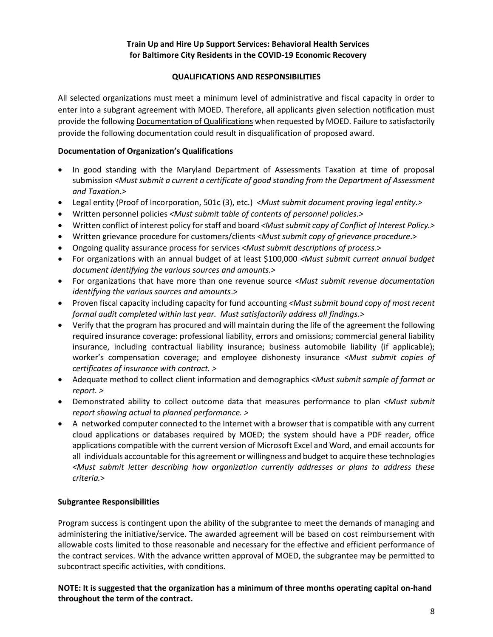#### **QUALIFICATIONS AND RESPONSIBILITIES**

<span id="page-7-0"></span>All selected organizations must meet a minimum level of administrative and fiscal capacity in order to enter into a subgrant agreement with MOED. Therefore, all applicants given selection notification must provide the following Documentation of Qualifications when requested by MOED. Failure to satisfactorily provide the following documentation could result in disqualification of proposed award.

#### **Documentation of Organization's Qualifications**

- In good standing with the Maryland Department of Assessments Taxation at time of proposal submission *<Must submit a current a certificate of good standing from the Department of Assessment and Taxation.>*
- Legal entity (Proof of Incorporation, 501c (3), etc.) *<Must submit document proving legal entity.>*
- Written personnel policies *<Must submit table of contents of personnel policies.>*
- Written conflict of interest policy for staff and board *<Must submit copy of Conflict of Interest Policy.>*
- Written grievance procedure for customers/clients <*Must submit copy of grievance procedure*.>
- Ongoing quality assurance process for services <*Must submit descriptions of process*.>
- For organizations with an annual budget of at least \$100,000 *<Must submit current annual budget document identifying the various sources and amounts.>*
- For organizations that have more than one revenue source *<Must submit revenue documentation identifying the various sources and amounts*.>
- Proven fiscal capacity including capacity for fund accounting *<Must submit bound copy of most recent formal audit completed within last year. Must satisfactorily address all findings.>*
- Verify that the program has procured and will maintain during the life of the agreement the following required insurance coverage: professional liability, errors and omissions; commercial general liability insurance, including contractual liability insurance; business automobile liability (if applicable); worker's compensation coverage; and employee dishonesty insurance *<Must submit copies of certificates of insurance with contract. >*
- Adequate method to collect client information and demographics *<Must submit sample of format or report. >*
- Demonstrated ability to collect outcome data that measures performance to plan *<Must submit report showing actual to planned performance. >*
- A networked computer connected to the Internet with a browser that is compatible with any current cloud applications or databases required by MOED; the system should have a PDF reader, office applications compatible with the current version of Microsoft Excel and Word, and email accounts for all individuals accountable for this agreement or willingness and budget to acquire these technologies *<Must submit letter describing how organization currently addresses or plans to address these criteria.*>

#### <span id="page-7-1"></span>**Subgrantee Responsibilities**

Program success is contingent upon the ability of the subgrantee to meet the demands of managing and administering the initiative/service. The awarded agreement will be based on cost reimbursement with allowable costs limited to those reasonable and necessary for the effective and efficient performance of the contract services. With the advance written approval of MOED, the subgrantee may be permitted to subcontract specific activities, with conditions.

#### **NOTE: It is suggested that the organization has a minimum of three months operating capital on-hand throughout the term of the contract.**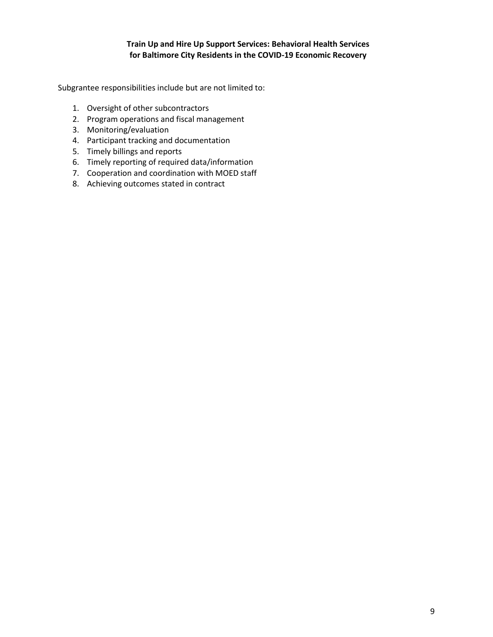Subgrantee responsibilities include but are not limited to:

- 1. Oversight of other subcontractors
- 2. Program operations and fiscal management
- 3. Monitoring/evaluation
- 4. Participant tracking and documentation
- 5. Timely billings and reports
- 6. Timely reporting of required data/information
- 7. Cooperation and coordination with MOED staff
- 8. Achieving outcomes stated in contract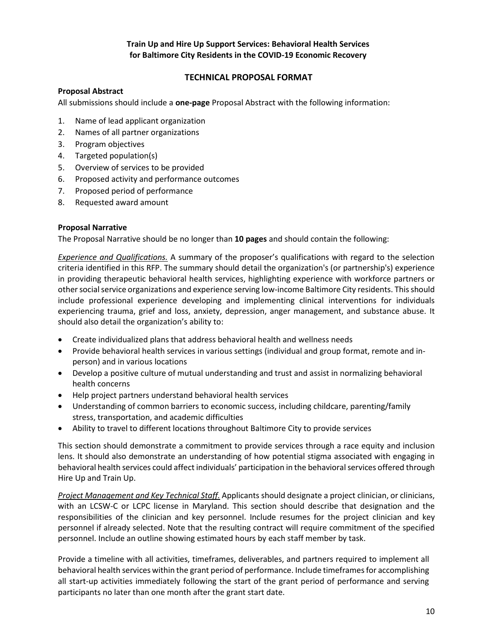## <span id="page-9-0"></span> **TECHNICAL PROPOSAL FORMAT**

#### <span id="page-9-1"></span>**Proposal Abstract**

All submissions should include a **one-page** Proposal Abstract with the following information:

- 1. Name of lead applicant organization
- 2. Names of all partner organizations
- 3. Program objectives
- 4. Targeted population(s)
- 5. Overview of services to be provided
- 6. Proposed activity and performance outcomes
- 7. Proposed period of performance
- 8. Requested award amount

#### <span id="page-9-2"></span>**Proposal Narrative**

The Proposal Narrative should be no longer than **10 pages** and should contain the following:

*Experience and Qualifications.* A summary of the proposer's qualifications with regard to the selection criteria identified in this RFP. The summary should detail the organization's (or partnership's) experience in providing therapeutic behavioral health services, highlighting experience with workforce partners or other social service organizations and experience serving low-income Baltimore City residents. This should include professional experience developing and implementing clinical interventions for individuals experiencing trauma, grief and loss, anxiety, depression, anger management, and substance abuse. It should also detail the organization's ability to:

- Create individualized plans that address behavioral health and wellness needs
- Provide behavioral health services in various settings (individual and group format, remote and inperson) and in various locations
- Develop a positive culture of mutual understanding and trust and assist in normalizing behavioral health concerns
- Help project partners understand behavioral health services
- Understanding of common barriers to economic success, including childcare, parenting/family stress, transportation, and academic difficulties
- Ability to travel to different locations throughout Baltimore City to provide services

This section should demonstrate a commitment to provide services through a race equity and inclusion lens. It should also demonstrate an understanding of how potential stigma associated with engaging in behavioral health services could affect individuals' participation in the behavioral services offered through Hire Up and Train Up.

*Project Management and Key Technical Staff.* Applicants should designate a project clinician, or clinicians, with an LCSW-C or LCPC license in Maryland. This section should describe that designation and the responsibilities of the clinician and key personnel. Include resumes for the project clinician and key personnel if already selected. Note that the resulting contract will require commitment of the specified personnel. Include an outline showing estimated hours by each staff member by task.

Provide a timeline with all activities, timeframes, deliverables, and partners required to implement all behavioral health services within the grant period of performance. Include timeframes for accomplishing all start-up activities immediately following the start of the grant period of performance and serving participants no later than one month after the grant start date.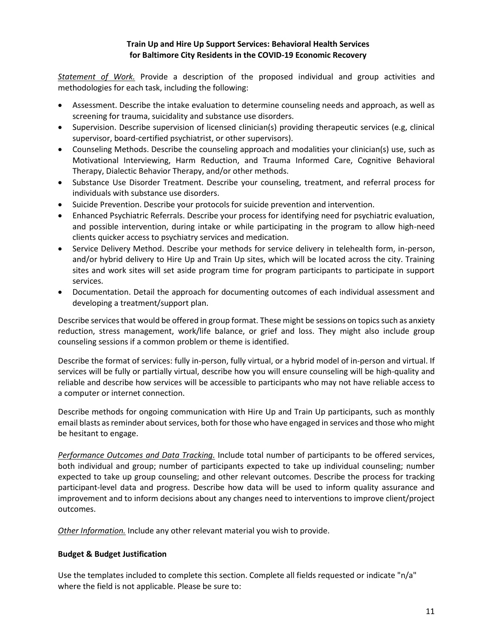*Statement of Work.* Provide a description of the proposed individual and group activities and methodologies for each task, including the following:

- Assessment. Describe the intake evaluation to determine counseling needs and approach, as well as screening for trauma, suicidality and substance use disorders.
- Supervision. Describe supervision of licensed clinician(s) providing therapeutic services (e.g, clinical supervisor, board-certified psychiatrist, or other supervisors).
- Counseling Methods. Describe the counseling approach and modalities your clinician(s) use, such as Motivational Interviewing, Harm Reduction, and Trauma Informed Care, Cognitive Behavioral Therapy, Dialectic Behavior Therapy, and/or other methods.
- Substance Use Disorder Treatment. Describe your counseling, treatment, and referral process for individuals with substance use disorders.
- Suicide Prevention. Describe your protocols for suicide prevention and intervention.
- Enhanced Psychiatric Referrals. Describe your process for identifying need for psychiatric evaluation, and possible intervention, during intake or while participating in the program to allow high-need clients quicker access to psychiatry services and medication.
- Service Delivery Method. Describe your methods for service delivery in telehealth form, in-person, and/or hybrid delivery to Hire Up and Train Up sites, which will be located across the city. Training sites and work sites will set aside program time for program participants to participate in support services.
- Documentation. Detail the approach for documenting outcomes of each individual assessment and developing a treatment/support plan.

Describe services that would be offered in group format. These might be sessions on topics such as anxiety reduction, stress management, work/life balance, or grief and loss. They might also include group counseling sessions if a common problem or theme is identified.

Describe the format of services: fully in-person, fully virtual, or a hybrid model of in-person and virtual. If services will be fully or partially virtual, describe how you will ensure counseling will be high-quality and reliable and describe how services will be accessible to participants who may not have reliable access to a computer or internet connection.

Describe methods for ongoing communication with Hire Up and Train Up participants, such as monthly email blasts as reminder about services, both for those who have engaged in services and those who might be hesitant to engage.

*Performance Outcomes and Data Tracking.* Include total number of participants to be offered services, both individual and group; number of participants expected to take up individual counseling; number expected to take up group counseling; and other relevant outcomes. Describe the process for tracking participant-level data and progress. Describe how data will be used to inform quality assurance and improvement and to inform decisions about any changes need to interventions to improve client/project outcomes.

*Other Information.* Include any other relevant material you wish to provide.

#### <span id="page-10-0"></span>**Budget & Budget Justification**

Use the templates included to complete this section. Complete all fields requested or indicate "n/a" where the field is not applicable. Please be sure to: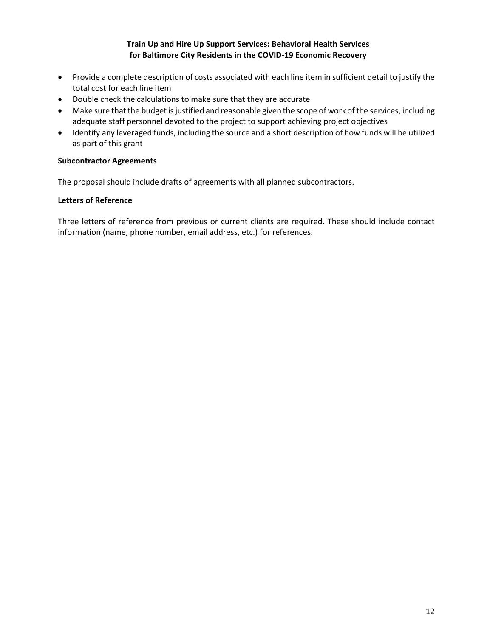- Provide a complete description of costs associated with each line item in sufficient detail to justify the total cost for each line item
- Double check the calculations to make sure that they are accurate
- Make sure that the budget is justified and reasonable given the scope of work of the services, including adequate staff personnel devoted to the project to support achieving project objectives
- Identify any leveraged funds, including the source and a short description of how funds will be utilized as part of this grant

#### <span id="page-11-0"></span>**Subcontractor Agreements**

The proposal should include drafts of agreements with all planned subcontractors.

#### <span id="page-11-1"></span>**Letters of Reference**

Three letters of reference from previous or current clients are required. These should include contact information (name, phone number, email address, etc.) for references.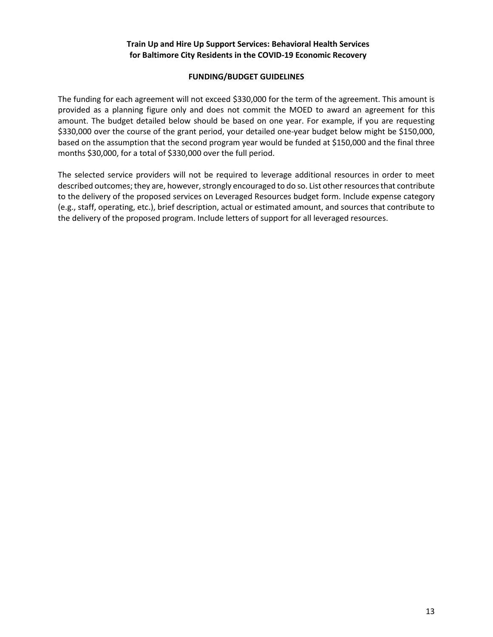#### **FUNDING/BUDGET GUIDELINES**

<span id="page-12-0"></span>The funding for each agreement will not exceed \$330,000 for the term of the agreement. This amount is provided as a planning figure only and does not commit the MOED to award an agreement for this amount. The budget detailed below should be based on one year. For example, if you are requesting \$330,000 over the course of the grant period, your detailed one-year budget below might be \$150,000, based on the assumption that the second program year would be funded at \$150,000 and the final three months \$30,000, for a total of \$330,000 over the full period.

The selected service providers will not be required to leverage additional resources in order to meet described outcomes; they are, however, strongly encouraged to do so. List other resources that contribute to the delivery of the proposed services on Leveraged Resources budget form. Include expense category (e.g., staff, operating, etc.), brief description, actual or estimated amount, and sources that contribute to the delivery of the proposed program. Include letters of support for all leveraged resources.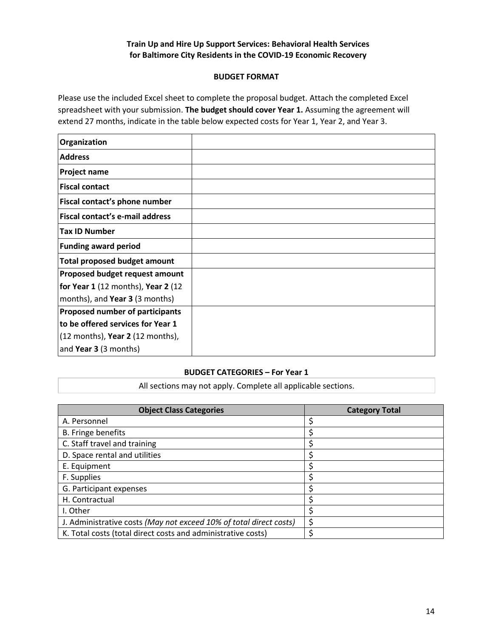#### **BUDGET FORMAT**

<span id="page-13-0"></span>Please use the included Excel sheet to complete the proposal budget. Attach the completed Excel spreadsheet with your submission. **The budget should cover Year 1.** Assuming the agreement will extend 27 months, indicate in the table below expected costs for Year 1, Year 2, and Year 3.

| Organization                        |  |
|-------------------------------------|--|
| <b>Address</b>                      |  |
| Project name                        |  |
| <b>Fiscal contact</b>               |  |
| Fiscal contact's phone number       |  |
| Fiscal contact's e-mail address     |  |
| <b>Tax ID Number</b>                |  |
| <b>Funding award period</b>         |  |
| <b>Total proposed budget amount</b> |  |
| Proposed budget request amount      |  |
| for Year 1 (12 months), Year 2 (12  |  |
| months), and Year 3 (3 months)      |  |
| Proposed number of participants     |  |
| to be offered services for Year 1   |  |
| (12 months), Year 2 (12 months),    |  |
| and Year 3 (3 months)               |  |

#### **BUDGET CATEGORIES – For Year 1**

All sections may not apply. Complete all applicable sections.

| <b>Object Class Categories</b>                                     | <b>Category Total</b> |
|--------------------------------------------------------------------|-----------------------|
| A. Personnel                                                       |                       |
| <b>B.</b> Fringe benefits                                          |                       |
| C. Staff travel and training                                       |                       |
| D. Space rental and utilities                                      |                       |
| E. Equipment                                                       |                       |
| F. Supplies                                                        |                       |
| G. Participant expenses                                            |                       |
| H. Contractual                                                     |                       |
| I. Other                                                           |                       |
| J. Administrative costs (May not exceed 10% of total direct costs) |                       |
| K. Total costs (total direct costs and administrative costs)       |                       |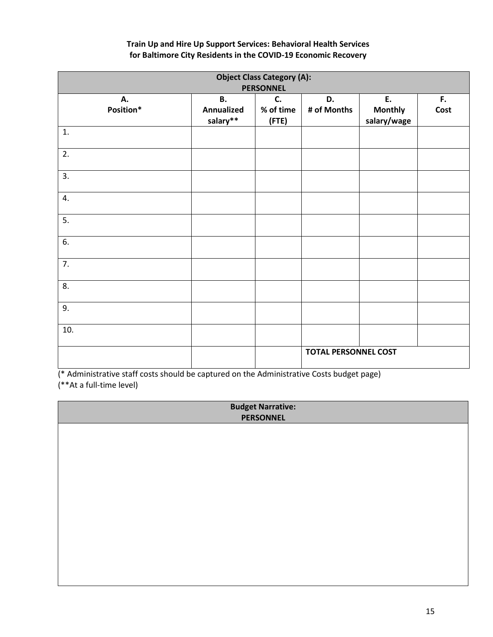|                 |                                     | <b>Object Class Category (A):</b><br><b>PERSONNEL</b> |                             |                                     |            |
|-----------------|-------------------------------------|-------------------------------------------------------|-----------------------------|-------------------------------------|------------|
| А.<br>Position* | <b>B.</b><br>Annualized<br>salary** | C.<br>% of time<br>(FTE)                              | D.<br># of Months           | E.<br><b>Monthly</b><br>salary/wage | F.<br>Cost |
| 1.              |                                     |                                                       |                             |                                     |            |
| 2.              |                                     |                                                       |                             |                                     |            |
| 3.              |                                     |                                                       |                             |                                     |            |
| 4.              |                                     |                                                       |                             |                                     |            |
| 5.              |                                     |                                                       |                             |                                     |            |
| 6.              |                                     |                                                       |                             |                                     |            |
| 7.              |                                     |                                                       |                             |                                     |            |
| 8.              |                                     |                                                       |                             |                                     |            |
| 9.              |                                     |                                                       |                             |                                     |            |
| 10.             |                                     |                                                       |                             |                                     |            |
|                 |                                     |                                                       | <b>TOTAL PERSONNEL COST</b> |                                     |            |

(\* Administrative staff costs should be captured on the Administrative Costs budget page) (\*\*At a full-time level)

| <b>Budget Narrative:</b><br><b>PERSONNEL</b> |  |
|----------------------------------------------|--|
|                                              |  |
|                                              |  |
|                                              |  |
|                                              |  |
|                                              |  |
|                                              |  |
|                                              |  |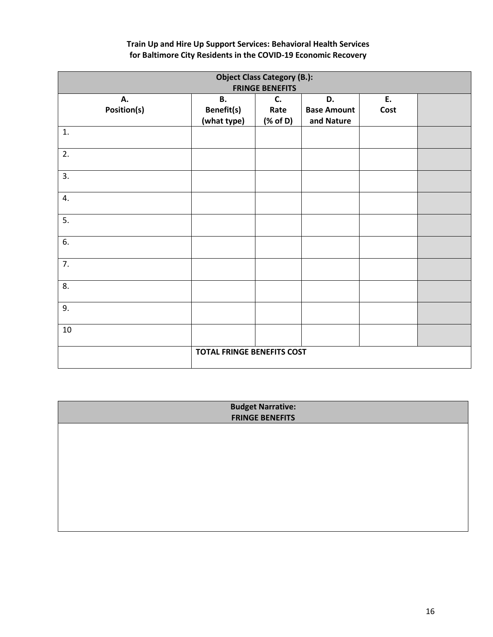|                   |                                               | <b>Object Class Category (B.):</b><br><b>FRINGE BENEFITS</b> |                                        |            |  |
|-------------------|-----------------------------------------------|--------------------------------------------------------------|----------------------------------------|------------|--|
| А.<br>Position(s) | <b>B.</b><br><b>Benefit(s)</b><br>(what type) | C.<br>Rate<br>$(% \mathbf{A})$ (% of D)                      | D.<br><b>Base Amount</b><br>and Nature | E.<br>Cost |  |
| 1.                |                                               |                                                              |                                        |            |  |
| 2.                |                                               |                                                              |                                        |            |  |
| 3.                |                                               |                                                              |                                        |            |  |
| 4.                |                                               |                                                              |                                        |            |  |
| 5.                |                                               |                                                              |                                        |            |  |
| 6.                |                                               |                                                              |                                        |            |  |
| 7.                |                                               |                                                              |                                        |            |  |
| 8.                |                                               |                                                              |                                        |            |  |
| 9.                |                                               |                                                              |                                        |            |  |
| 10                |                                               |                                                              |                                        |            |  |
|                   | <b>TOTAL FRINGE BENEFITS COST</b>             |                                                              |                                        |            |  |

| <b>Budget Narrative:</b><br><b>FRINGE BENEFITS</b> |  |
|----------------------------------------------------|--|
|                                                    |  |
|                                                    |  |
|                                                    |  |
|                                                    |  |
|                                                    |  |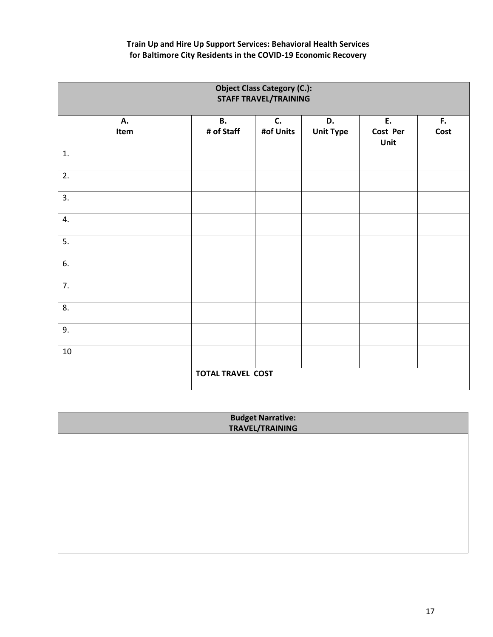|            |                          | <b>Object Class Category (C.):</b><br><b>STAFF TRAVEL/TRAINING</b> |                        |                        |            |
|------------|--------------------------|--------------------------------------------------------------------|------------------------|------------------------|------------|
| А.<br>Item | <b>B.</b><br># of Staff  | C.<br>#of Units                                                    | D.<br><b>Unit Type</b> | E.<br>Cost Per<br>Unit | F.<br>Cost |
| 1.         |                          |                                                                    |                        |                        |            |
| 2.         |                          |                                                                    |                        |                        |            |
| 3.         |                          |                                                                    |                        |                        |            |
| 4.         |                          |                                                                    |                        |                        |            |
| 5.         |                          |                                                                    |                        |                        |            |
| 6.         |                          |                                                                    |                        |                        |            |
| 7.         |                          |                                                                    |                        |                        |            |
| 8.         |                          |                                                                    |                        |                        |            |
| 9.         |                          |                                                                    |                        |                        |            |
| $10\,$     |                          |                                                                    |                        |                        |            |
|            | <b>TOTAL TRAVEL COST</b> |                                                                    |                        |                        |            |

| <b>Budget Narrative:<br/>TRAVEL/TRAINING</b> |
|----------------------------------------------|
|                                              |
|                                              |
|                                              |
|                                              |
|                                              |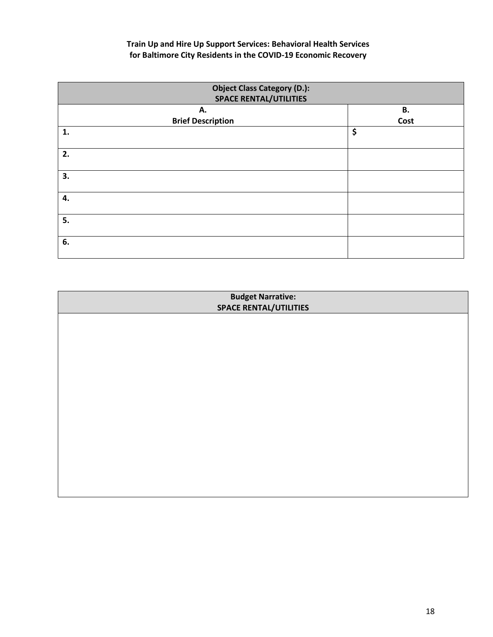| <b>Object Class Category (D.):</b><br><b>SPACE RENTAL/UTILITIES</b> |      |
|---------------------------------------------------------------------|------|
| Α.                                                                  | В.   |
| <b>Brief Description</b>                                            | Cost |
| 1.                                                                  | \$   |
| 2.                                                                  |      |
| 3.                                                                  |      |
| 4.                                                                  |      |
| 5.                                                                  |      |
| 6.                                                                  |      |

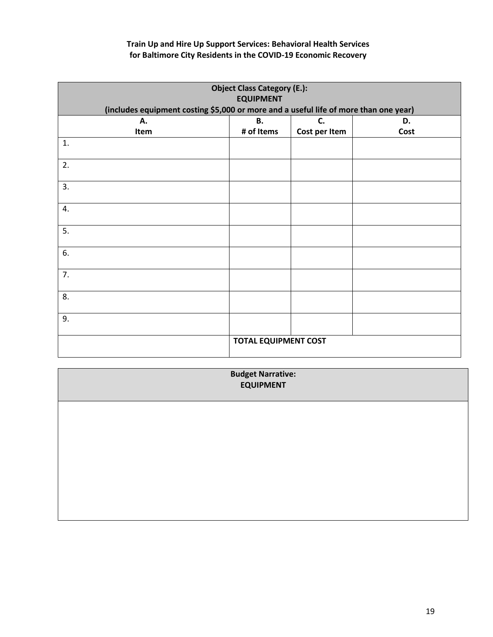|                                                                                      | <b>Object Class Category (E.):</b><br><b>EQUIPMENT</b> |               |      |  |
|--------------------------------------------------------------------------------------|--------------------------------------------------------|---------------|------|--|
| (includes equipment costing \$5,000 or more and a useful life of more than one year) |                                                        |               |      |  |
| Α.                                                                                   | <b>B.</b><br>D.<br>C.                                  |               |      |  |
| Item                                                                                 | # of Items                                             | Cost per Item | Cost |  |
| 1.                                                                                   |                                                        |               |      |  |
| 2.                                                                                   |                                                        |               |      |  |
| 3.                                                                                   |                                                        |               |      |  |
| 4.                                                                                   |                                                        |               |      |  |
| 5.                                                                                   |                                                        |               |      |  |
| 6.                                                                                   |                                                        |               |      |  |
| 7.                                                                                   |                                                        |               |      |  |
| 8.                                                                                   |                                                        |               |      |  |
| 9.                                                                                   |                                                        |               |      |  |
|                                                                                      | <b>TOTAL EQUIPMENT COST</b>                            |               |      |  |

| <b>Budget Narrative:<br/>EQUIPMENT</b> |
|----------------------------------------|
|                                        |
|                                        |
|                                        |
|                                        |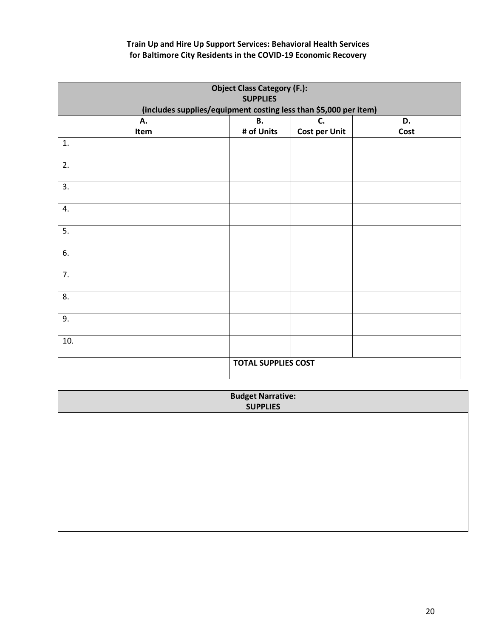| <b>Object Class Category (F.):</b><br><b>SUPPLIES</b><br>(includes supplies/equipment costing less than \$5,000 per item) |                            |                      |      |
|---------------------------------------------------------------------------------------------------------------------------|----------------------------|----------------------|------|
| А.                                                                                                                        | В.                         | C.                   | D.   |
| Item                                                                                                                      | # of Units                 | <b>Cost per Unit</b> | Cost |
| 1.                                                                                                                        |                            |                      |      |
| 2.                                                                                                                        |                            |                      |      |
| 3.                                                                                                                        |                            |                      |      |
| 4.                                                                                                                        |                            |                      |      |
| 5.                                                                                                                        |                            |                      |      |
| 6.                                                                                                                        |                            |                      |      |
| 7.                                                                                                                        |                            |                      |      |
| 8.                                                                                                                        |                            |                      |      |
| 9.                                                                                                                        |                            |                      |      |
| 10.                                                                                                                       |                            |                      |      |
|                                                                                                                           | <b>TOTAL SUPPLIES COST</b> |                      |      |

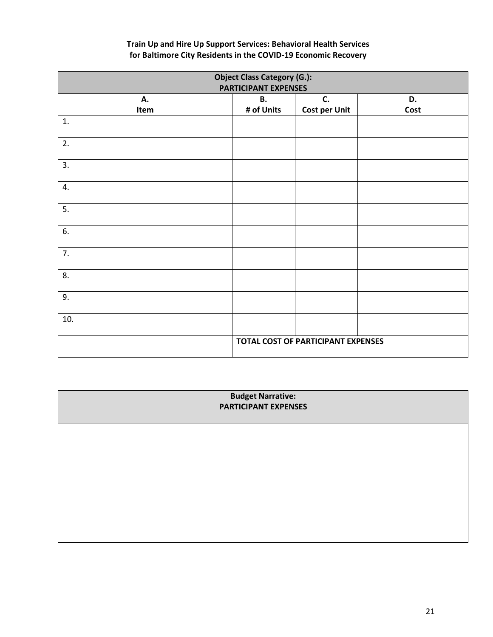| <b>Object Class Category (G.):</b><br><b>PARTICIPANT EXPENSES</b> |                                    |                            |            |
|-------------------------------------------------------------------|------------------------------------|----------------------------|------------|
| А.<br>Item                                                        | <b>B.</b><br># of Units            | C.<br><b>Cost per Unit</b> | D.<br>Cost |
| 1.                                                                |                                    |                            |            |
| 2.                                                                |                                    |                            |            |
| 3.                                                                |                                    |                            |            |
| 4.                                                                |                                    |                            |            |
| 5.                                                                |                                    |                            |            |
| 6.                                                                |                                    |                            |            |
| 7.                                                                |                                    |                            |            |
| 8.                                                                |                                    |                            |            |
| 9.                                                                |                                    |                            |            |
| 10.                                                               |                                    |                            |            |
|                                                                   | TOTAL COST OF PARTICIPANT EXPENSES |                            |            |

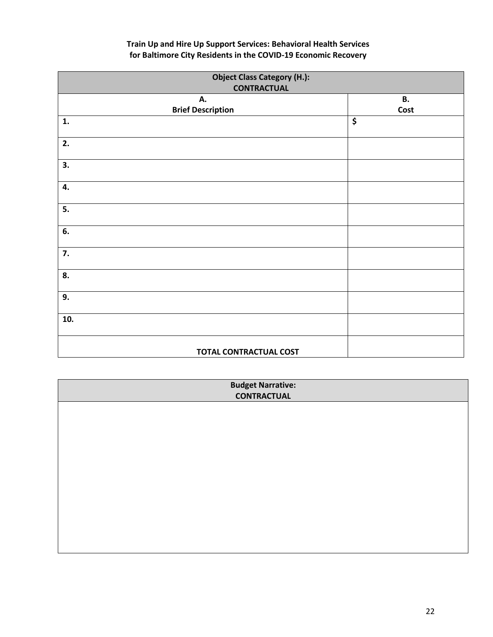| <b>Object Class Category (H.):</b><br><b>CONTRACTUAL</b> |            |
|----------------------------------------------------------|------------|
| А.<br><b>Brief Description</b>                           | В.<br>Cost |
| $\mathbf{1}$ .                                           | \$         |
| 2.                                                       |            |
| 3.                                                       |            |
| 4.                                                       |            |
| 5.                                                       |            |
| 6.                                                       |            |
| 7.                                                       |            |
| 8.                                                       |            |
| 9.                                                       |            |
| 10.                                                      |            |
| <b>TOTAL CONTRACTUAL COST</b>                            |            |

| <b>Budget Narrative:</b><br><b>CONTRACTUAL</b> |  |  |  |
|------------------------------------------------|--|--|--|
|                                                |  |  |  |
|                                                |  |  |  |
|                                                |  |  |  |
|                                                |  |  |  |
|                                                |  |  |  |
|                                                |  |  |  |
|                                                |  |  |  |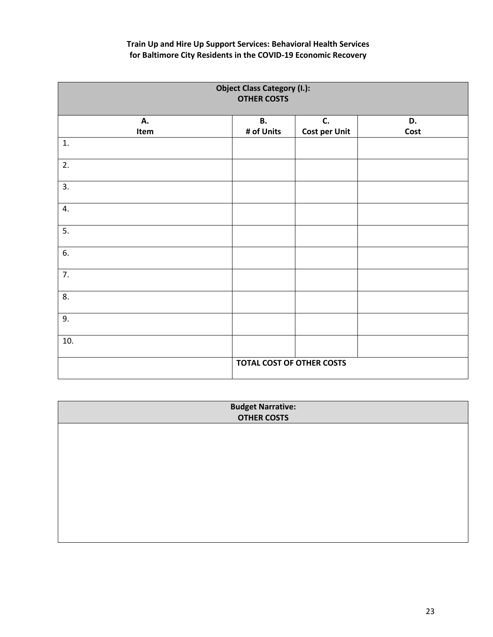| <b>Object Class Category (I.):</b><br><b>OTHER COSTS</b> |                           |                      |      |
|----------------------------------------------------------|---------------------------|----------------------|------|
| А.                                                       | <b>B.</b>                 | <b>C.</b>            | D.   |
| Item                                                     | # of Units                | <b>Cost per Unit</b> | Cost |
| 1.                                                       |                           |                      |      |
| 2.                                                       |                           |                      |      |
| 3.                                                       |                           |                      |      |
| 4.                                                       |                           |                      |      |
| 5.                                                       |                           |                      |      |
| 6.                                                       |                           |                      |      |
| 7.                                                       |                           |                      |      |
| 8.                                                       |                           |                      |      |
| 9.                                                       |                           |                      |      |
| 10.                                                      |                           |                      |      |
|                                                          | TOTAL COST OF OTHER COSTS |                      |      |

| <b>Budget Narrative:</b> |  |  |  |
|--------------------------|--|--|--|
| <b>OTHER COSTS</b>       |  |  |  |
|                          |  |  |  |
|                          |  |  |  |
|                          |  |  |  |
|                          |  |  |  |
|                          |  |  |  |
|                          |  |  |  |
|                          |  |  |  |
|                          |  |  |  |
|                          |  |  |  |
|                          |  |  |  |
|                          |  |  |  |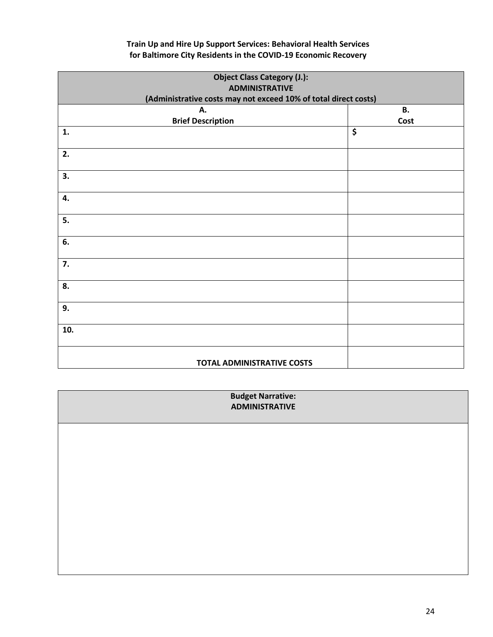|                          | <b>Object Class Category (J.):</b><br><b>ADMINISTRATIVE</b>     |  |  |  |
|--------------------------|-----------------------------------------------------------------|--|--|--|
|                          | (Administrative costs may not exceed 10% of total direct costs) |  |  |  |
| А.                       | В.                                                              |  |  |  |
| <b>Brief Description</b> | Cost                                                            |  |  |  |
| 1.                       | \$                                                              |  |  |  |
| 2.                       |                                                                 |  |  |  |
| 3.                       |                                                                 |  |  |  |
| 4.                       |                                                                 |  |  |  |
| 5.                       |                                                                 |  |  |  |
| 6.                       |                                                                 |  |  |  |
| 7.                       |                                                                 |  |  |  |
| 8.                       |                                                                 |  |  |  |
| 9.                       |                                                                 |  |  |  |
| 10.                      |                                                                 |  |  |  |
|                          | <b>TOTAL ADMINISTRATIVE COSTS</b>                               |  |  |  |

| <b>Budget Narrative:</b><br><b>ADMINISTRATIVE</b> |
|---------------------------------------------------|
|                                                   |
|                                                   |
|                                                   |
|                                                   |
|                                                   |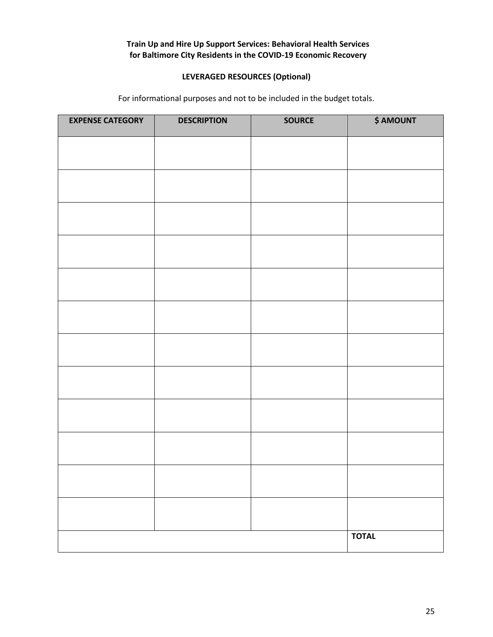## **LEVERAGED RESOURCES (Optional)**

For informational purposes and not to be included in the budget totals.

| <b>EXPENSE CATEGORY</b> | <b>DESCRIPTION</b> | <b>SOURCE</b> | <b>\$ AMOUNT</b> |
|-------------------------|--------------------|---------------|------------------|
|                         |                    |               |                  |
|                         |                    |               |                  |
|                         |                    |               |                  |
|                         |                    |               |                  |
|                         |                    |               |                  |
|                         |                    |               |                  |
|                         |                    |               |                  |
|                         |                    |               |                  |
|                         |                    |               |                  |
|                         |                    |               |                  |
|                         |                    |               |                  |
|                         |                    |               |                  |
|                         |                    |               |                  |
|                         |                    |               | <b>TOTAL</b>     |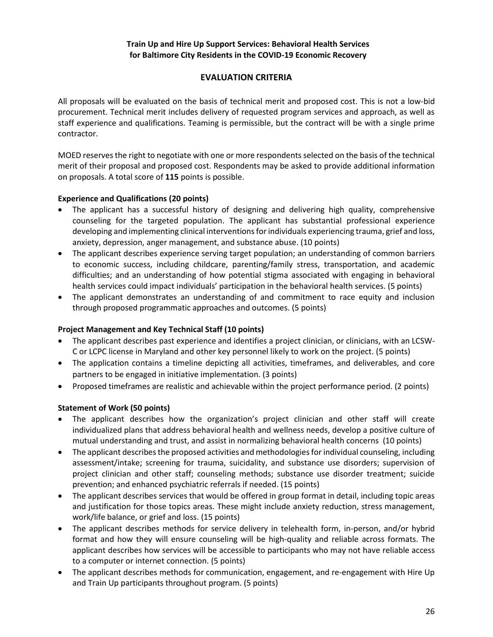## **EVALUATION CRITERIA**

<span id="page-25-0"></span>All proposals will be evaluated on the basis of technical merit and proposed cost. This is not a low-bid procurement. Technical merit includes delivery of requested program services and approach, as well as staff experience and qualifications. Teaming is permissible, but the contract will be with a single prime contractor.

MOED reserves the right to negotiate with one or more respondents selected on the basis of the technical merit of their proposal and proposed cost. Respondents may be asked to provide additional information on proposals. A total score of **115** points is possible.

#### **Experience and Qualifications (20 points)**

- The applicant has a successful history of designing and delivering high quality, comprehensive counseling for the targeted population. The applicant has substantial professional experience developing and implementing clinical interventions for individuals experiencing trauma, grief and loss, anxiety, depression, anger management, and substance abuse. (10 points)
- The applicant describes experience serving target population; an understanding of common barriers to economic success, including childcare, parenting/family stress, transportation, and academic difficulties; and an understanding of how potential stigma associated with engaging in behavioral health services could impact individuals' participation in the behavioral health services. (5 points)
- The applicant demonstrates an understanding of and commitment to race equity and inclusion through proposed programmatic approaches and outcomes. (5 points)

#### **Project Management and Key Technical Staff (10 points)**

- The applicant describes past experience and identifies a project clinician, or clinicians, with an LCSW-C or LCPC license in Maryland and other key personnel likely to work on the project. (5 points)
- The application contains a timeline depicting all activities, timeframes, and deliverables, and core partners to be engaged in initiative implementation. (3 points)
- Proposed timeframes are realistic and achievable within the project performance period. (2 points)

#### **Statement of Work (50 points)**

- The applicant describes how the organization's project clinician and other staff will create individualized plans that address behavioral health and wellness needs, develop a positive culture of mutual understanding and trust, and assist in normalizing behavioral health concerns (10 points)
- The applicant describes the proposed activities and methodologies for individual counseling, including assessment/intake; screening for trauma, suicidality, and substance use disorders; supervision of project clinician and other staff; counseling methods; substance use disorder treatment; suicide prevention; and enhanced psychiatric referrals if needed. (15 points)
- The applicant describes services that would be offered in group format in detail, including topic areas and justification for those topics areas. These might include anxiety reduction, stress management, work/life balance, or grief and loss. (15 points)
- The applicant describes methods for service delivery in telehealth form, in-person, and/or hybrid format and how they will ensure counseling will be high-quality and reliable across formats. The applicant describes how services will be accessible to participants who may not have reliable access to a computer or internet connection. (5 points)
- The applicant describes methods for communication, engagement, and re-engagement with Hire Up and Train Up participants throughout program. (5 points)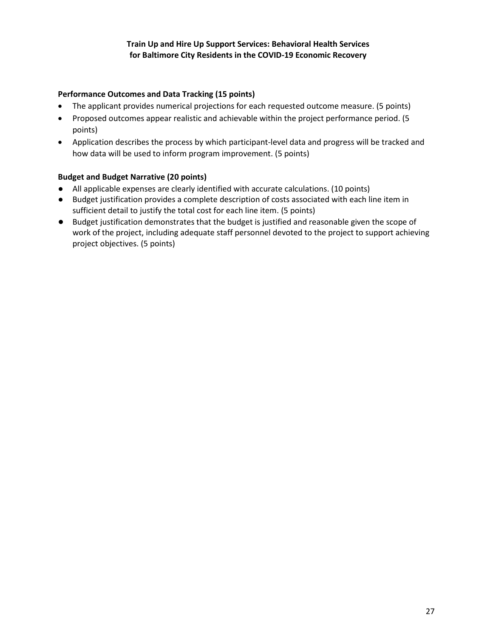## **Performance Outcomes and Data Tracking (15 points)**

- The applicant provides numerical projections for each requested outcome measure. (5 points)
- Proposed outcomes appear realistic and achievable within the project performance period. (5 points)
- Application describes the process by which participant-level data and progress will be tracked and how data will be used to inform program improvement. (5 points)

#### **Budget and Budget Narrative (20 points)**

- All applicable expenses are clearly identified with accurate calculations. (10 points)
- Budget justification provides a complete description of costs associated with each line item in sufficient detail to justify the total cost for each line item. (5 points)
- Budget justification demonstrates that the budget is justified and reasonable given the scope of work of the project, including adequate staff personnel devoted to the project to support achieving project objectives. (5 points)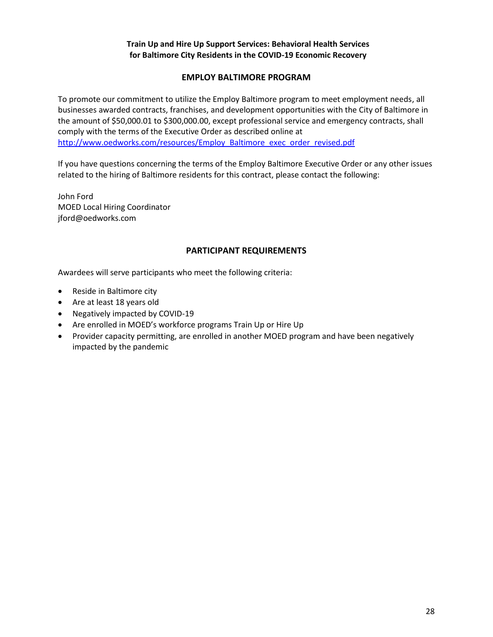## **EMPLOY BALTIMORE PROGRAM**

<span id="page-27-0"></span>To promote our commitment to utilize the Employ Baltimore program to meet employment needs, all businesses awarded contracts, franchises, and development opportunities with the City of Baltimore in the amount of \$50,000.01 to \$300,000.00, except professional service and emergency contracts, shall comply with the terms of the Executive Order as described online at [http://www.oedworks.com/resources/Employ\\_Baltimore\\_exec\\_order\\_revised.pdf](http://www.oedworks.com/resources/Employ_Baltimore_exec_order_revised.pdf)

If you have questions concerning the terms of the Employ Baltimore Executive Order or any other issues related to the hiring of Baltimore residents for this contract, please contact the following:

John Ford MOED Local Hiring Coordinator jford@oedworks.com

#### **PARTICIPANT REQUIREMENTS**

<span id="page-27-1"></span>Awardees will serve participants who meet the following criteria:

- Reside in Baltimore city
- Are at least 18 years old
- Negatively impacted by COVID-19
- Are enrolled in MOED's workforce programs Train Up or Hire Up
- Provider capacity permitting, are enrolled in another MOED program and have been negatively impacted by the pandemic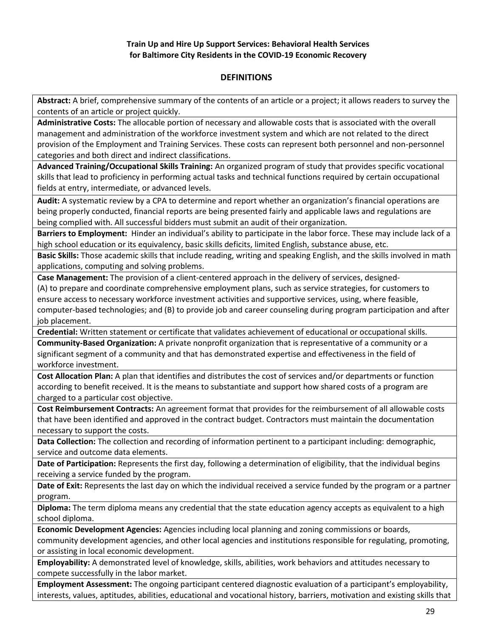## **DEFINITIONS**

<span id="page-28-0"></span>**Abstract:** A brief, comprehensive summary of the contents of an article or a project; it allows readers to survey the contents of an article or project quickly.

**Administrative Costs:** The allocable portion of necessary and allowable costs that is associated with the overall management and administration of the workforce investment system and which are not related to the direct provision of the Employment and Training Services. These costs can represent both personnel and non-personnel categories and both direct and indirect classifications.

**Advanced Training/Occupational Skills Training:** An organized program of study that provides specific vocational skills that lead to proficiency in performing actual tasks and technical functions required by certain occupational fields at entry, intermediate, or advanced levels.

**Audit:** A systematic review by a CPA to determine and report whether an organization's financial operations are being properly conducted, financial reports are being presented fairly and applicable laws and regulations are being complied with. All successful bidders must submit an audit of their organization.

**Barriers to Employment:** Hinder an individual's ability to participate in the labor force. These may include lack of a high school education or its equivalency, basic skills deficits, limited English, substance abuse, etc.

**Basic Skills:** Those academic skills that include reading, writing and speaking English, and the skills involved in math applications, computing and solving problems.

**Case Management:** The provision of a client-centered approach in the delivery of services, designed- (A) to prepare and coordinate comprehensive employment plans, such as service strategies, for customers to ensure access to necessary workforce investment activities and supportive services, using, where feasible, computer-based technologies; and (B) to provide job and career counseling during program participation and after job placement.

**Credential:** Written statement or certificate that validates achievement of educational or occupational skills.

**Community-Based Organization:** A private nonprofit organization that is representative of a community or a significant segment of a community and that has demonstrated expertise and effectiveness in the field of workforce investment.

**Cost Allocation Plan:** A plan that identifies and distributes the cost of services and/or departments or function according to benefit received. It is the means to substantiate and support how shared costs of a program are charged to a particular cost objective.

**Cost Reimbursement Contracts:** An agreement format that provides for the reimbursement of all allowable costs that have been identified and approved in the contract budget. Contractors must maintain the documentation necessary to support the costs.

**Data Collection:** The collection and recording of information pertinent to a participant including: demographic, service and outcome data elements.

**Date of Participation:** Represents the first day, following a determination of eligibility, that the individual begins receiving a service funded by the program.

**Date of Exit:** Represents the last day on which the individual received a service funded by the program or a partner program.

**Diploma:** The term diploma means any credential that the state education agency accepts as equivalent to a high school diploma.

**Economic Development Agencies:** Agencies including local planning and zoning commissions or boards,

community development agencies, and other local agencies and institutions responsible for regulating, promoting, or assisting in local economic development.

**Employability:** A demonstrated level of knowledge, skills, abilities, work behaviors and attitudes necessary to compete successfully in the labor market.

**Employment Assessment:** The ongoing participant centered diagnostic evaluation of a participant's employability, interests, values, aptitudes, abilities, educational and vocational history, barriers, motivation and existing skills that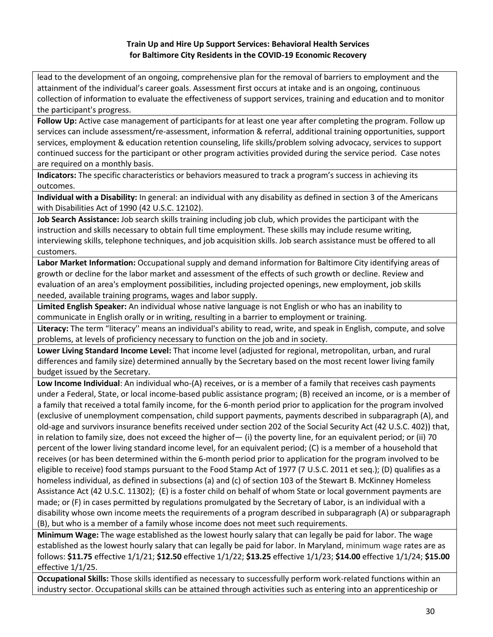lead to the development of an ongoing, comprehensive plan for the removal of barriers to employment and the attainment of the individual's career goals. Assessment first occurs at intake and is an ongoing, continuous collection of information to evaluate the effectiveness of support services, training and education and to monitor the participant's progress.

**Follow Up:** Active case management of participants for at least one year after completing the program. Follow up services can include assessment/re-assessment, information & referral, additional training opportunities, support services, employment & education retention counseling, life skills/problem solving advocacy, services to support continued success for the participant or other program activities provided during the service period. Case notes are required on a monthly basis.

**Indicators:** The specific characteristics or behaviors measured to track a program's success in achieving its outcomes.

**Individual with a Disability:** In general: an individual with any disability as defined in section 3 of the Americans with Disabilities Act of 1990 (42 U.S.C. 12102).

**Job Search Assistance:** Job search skills training including job club, which provides the participant with the instruction and skills necessary to obtain full time employment. These skills may include resume writing, interviewing skills, telephone techniques, and job acquisition skills. Job search assistance must be offered to all customers.

**Labor Market Information:** Occupational supply and demand information for Baltimore City identifying areas of growth or decline for the labor market and assessment of the effects of such growth or decline. Review and evaluation of an area's employment possibilities, including projected openings, new employment, job skills needed, available training programs, wages and labor supply.

**Limited English Speaker:** An individual whose native language is not English or who has an inability to communicate in English orally or in writing, resulting in a barrier to employment or training.

**Literacy:** The term "literacy'' means an individual's ability to read, write, and speak in English, compute, and solve problems, at levels of proficiency necessary to function on the job and in society.

**Lower Living Standard Income Level:** That income level (adjusted for regional, metropolitan, urban, and rural differences and family size) determined annually by the Secretary based on the most recent lower living family budget issued by the Secretary.

**Low Income Individual**: An individual who-(A) receives, or is a member of a family that receives cash payments under a Federal, State, or local income-based public assistance program; (B) received an income, or is a member of a family that received a total family income, for the 6-month period prior to application for the program involved (exclusive of unemployment compensation, child support payments, payments described in subparagraph (A), and old-age and survivors insurance benefits received under section 202 of the Social Security Act (42 U.S.C. 402)) that, in relation to family size, does not exceed the higher of - (i) the poverty line, for an equivalent period; or (ii) 70 percent of the lower living standard income level, for an equivalent period; (C) is a member of a household that receives (or has been determined within the 6-month period prior to application for the program involved to be eligible to receive) food stamps pursuant to the Food Stamp Act of 1977 (7 U.S.C. 2011 et seq.); (D) qualifies as a homeless individual, as defined in subsections (a) and (c) of section 103 of the Stewart B. McKinney Homeless Assistance Act (42 U.S.C. 11302); (E) is a foster child on behalf of whom State or local government payments are made; or (F) in cases permitted by regulations promulgated by the Secretary of Labor, is an individual with a disability whose own income meets the requirements of a program described in subparagraph (A) or subparagraph (B), but who is a member of a family whose income does not meet such requirements.

**Minimum Wage:** The wage established as the lowest hourly salary that can legally be paid for labor. The wage established as the lowest hourly salary that can legally be paid for labor. In Maryland, minimum wage rates are as follows: **\$11.75** effective 1/1/21; **\$12.50** effective 1/1/22; **\$13.25** effective 1/1/23; **\$14.00** effective 1/1/24; **\$15.00** effective 1/1/25.

**Occupational Skills:** Those skills identified as necessary to successfully perform work-related functions within an industry sector. Occupational skills can be attained through activities such as entering into an apprenticeship or